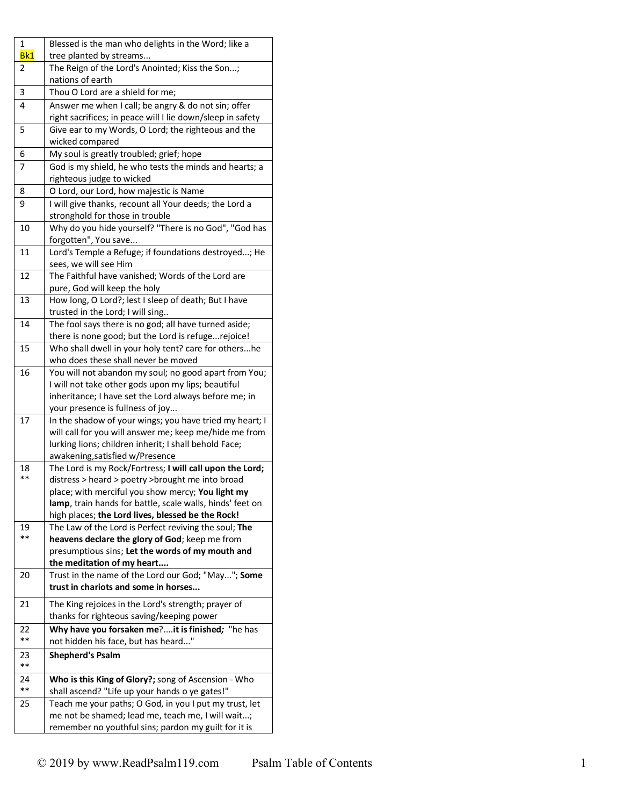| 1   | Blessed is the man who delights in the Word; like a        |
|-----|------------------------------------------------------------|
| Bk1 | tree planted by streams                                    |
| 2   | The Reign of the Lord's Anointed; Kiss the Son;            |
|     | nations of earth                                           |
| 3   | Thou O Lord are a shield for me;                           |
| 4   | Answer me when I call; be angry & do not sin; offer        |
|     | right sacrifices; in peace will I lie down/sleep in safety |
| 5   | Give ear to my Words, O Lord; the righteous and the        |
|     | wicked compared                                            |
| 6   | My soul is greatly troubled; grief; hope                   |
| 7   | God is my shield, he who tests the minds and hearts; a     |
|     | righteous judge to wicked                                  |
| 8   | O Lord, our Lord, how majestic is Name                     |
| 9   | I will give thanks, recount all Your deeds; the Lord a     |
|     | stronghold for those in trouble                            |
| 10  | Why do you hide yourself? "There is no God", "God has      |
|     | forgotten", You save                                       |
| 11  | Lord's Temple a Refuge; if foundations destroyed; He       |
|     | sees, we will see Him                                      |
| 12  | The Faithful have vanished; Words of the Lord are          |
|     | pure, God will keep the holy                               |
| 13  | How long, O Lord?; lest I sleep of death; But I have       |
|     | trusted in the Lord; I will sing                           |
| 14  | The fool says there is no god; all have turned aside;      |
|     | there is none good; but the Lord is refugerejoice!         |
| 15  | Who shall dwell in your holy tent? care for othershe       |
|     | who does these shall never be moved                        |
| 16  | You will not abandon my soul; no good apart from You;      |
|     | I will not take other gods upon my lips; beautiful         |
|     | inheritance; I have set the Lord always before me; in      |
|     | your presence is fullness of joy                           |
| 17  | In the shadow of your wings; you have tried my heart; I    |
|     | will call for you will answer me; keep me/hide me from     |
|     | lurking lions; children inherit; I shall behold Face;      |
|     | awakening, satisfied w/Presence                            |
| 18  | The Lord is my Rock/Fortress; I will call upon the Lord;   |
| **  | distress > heard > poetry > brought me into broad          |
|     | place; with merciful you show mercy; You light my          |
|     | lamp, train hands for battle, scale walls, hinds' feet on  |
|     | high places; the Lord lives, blessed be the Rock!          |
| 19  | The Law of the Lord is Perfect reviving the soul; The      |
| **  | heavens declare the glory of God; keep me from             |
|     | presumptious sins; Let the words of my mouth and           |
|     | the meditation of my heart                                 |
| 20  | Trust in the name of the Lord our God; "May"; Some         |
|     | trust in chariots and some in horses                       |
| 21  | The King rejoices in the Lord's strength; prayer of        |
|     | thanks for righteous saving/keeping power                  |
| 22  | Why have you forsaken me?it is finished; "he has           |
| **  | not hidden his face, but has heard"                        |
| 23  | <b>Shepherd's Psalm</b>                                    |
| **  |                                                            |
| 24  | Who is this King of Glory?; song of Ascension - Who        |
| **  | shall ascend? "Life up your hands o ye gates!"             |
| 25  | Teach me your paths; O God, in you I put my trust, let     |
|     | me not be shamed; lead me, teach me, I will wait;          |
|     | remember no youthful sins; pardon my guilt for it is       |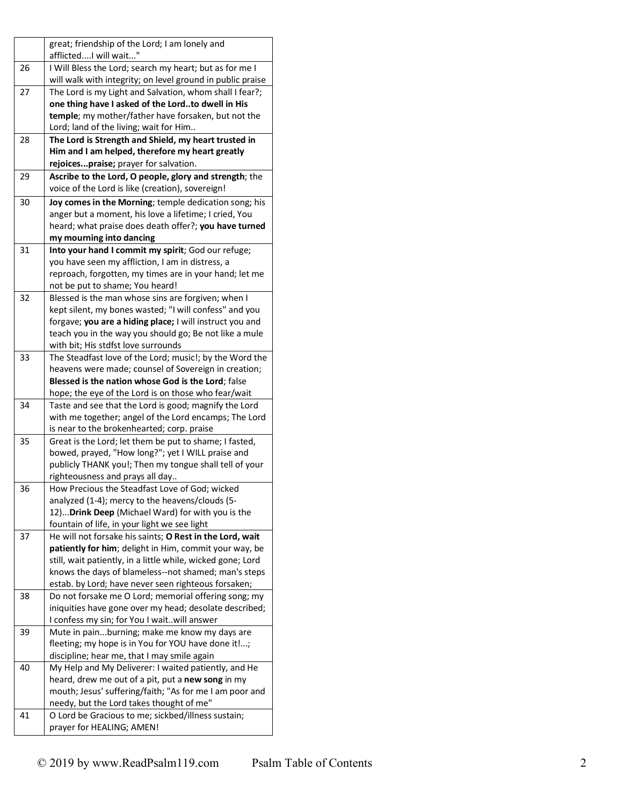|    | great; friendship of the Lord; I am lonely and                                                 |
|----|------------------------------------------------------------------------------------------------|
|    | afflictedI will wait"                                                                          |
| 26 | I Will Bless the Lord; search my heart; but as for me I                                        |
|    | will walk with integrity; on level ground in public praise                                     |
| 27 | The Lord is my Light and Salvation, whom shall I fear?;                                        |
|    | one thing have I asked of the Lordto dwell in His                                              |
|    | temple; my mother/father have forsaken, but not the                                            |
|    | Lord; land of the living; wait for Him                                                         |
| 28 | The Lord is Strength and Shield, my heart trusted in                                           |
|    | Him and I am helped, therefore my heart greatly                                                |
|    | rejoicespraise; prayer for salvation.                                                          |
| 29 | Ascribe to the Lord, O people, glory and strength; the                                         |
|    | voice of the Lord is like (creation), sovereign!                                               |
| 30 | Joy comes in the Morning; temple dedication song; his                                          |
|    | anger but a moment, his love a lifetime; I cried, You                                          |
|    | heard; what praise does death offer?; you have turned                                          |
|    | my mourning into dancing                                                                       |
| 31 | Into your hand I commit my spirit; God our refuge;                                             |
|    | you have seen my affliction, I am in distress, a                                               |
|    | reproach, forgotten, my times are in your hand; let me                                         |
|    | not be put to shame; You heard!                                                                |
| 32 | Blessed is the man whose sins are forgiven; when I                                             |
|    | kept silent, my bones wasted; "I will confess" and you                                         |
|    | forgave; you are a hiding place; I will instruct you and                                       |
|    | teach you in the way you should go; Be not like a mule                                         |
|    | with bit; His stdfst love surrounds                                                            |
| 33 | The Steadfast love of the Lord; music!; by the Word the                                        |
|    | heavens were made; counsel of Sovereign in creation;                                           |
|    | Blessed is the nation whose God is the Lord; false                                             |
|    | hope; the eye of the Lord is on those who fear/wait                                            |
| 34 | Taste and see that the Lord is good; magnify the Lord                                          |
|    | with me together; angel of the Lord encamps; The Lord                                          |
|    | is near to the brokenhearted; corp. praise                                                     |
| 35 | Great is the Lord; let them be put to shame; I fasted,                                         |
|    | bowed, prayed, "How long?"; yet I WILL praise and                                              |
|    |                                                                                                |
|    | publicly THANK you!; Then my tongue shall tell of your                                         |
| 36 | righteousness and prays all day                                                                |
|    | How Precious the Steadfast Love of God; wicked                                                 |
|    | analyzed (1-4); mercy to the heavens/clouds (5-                                                |
|    | 12) Drink Deep (Michael Ward) for with you is the                                              |
|    | fountain of life, in your light we see light                                                   |
| 37 | He will not forsake his saints; O Rest in the Lord, wait                                       |
|    | patiently for him; delight in Him, commit your way, be                                         |
|    | still, wait patiently, in a little while, wicked gone; Lord                                    |
|    | knows the days of blameless--not shamed; man's steps                                           |
|    | estab. by Lord; have never seen righteous forsaken;                                            |
| 38 | Do not forsake me O Lord; memorial offering song; my                                           |
|    | iniquities have gone over my head; desolate described;                                         |
|    | I confess my sin; for You I waitwill answer                                                    |
| 39 | Mute in painburning; make me know my days are                                                  |
|    | fleeting; my hope is in You for YOU have done it !;                                            |
|    | discipline; hear me, that I may smile again                                                    |
| 40 | My Help and My Deliverer: I waited patiently, and He                                           |
|    | heard, drew me out of a pit, put a new song in my                                              |
|    |                                                                                                |
|    | mouth; Jesus' suffering/faith; "As for me I am poor and                                        |
| 41 | needy, but the Lord takes thought of me"<br>O Lord be Gracious to me; sickbed/illness sustain; |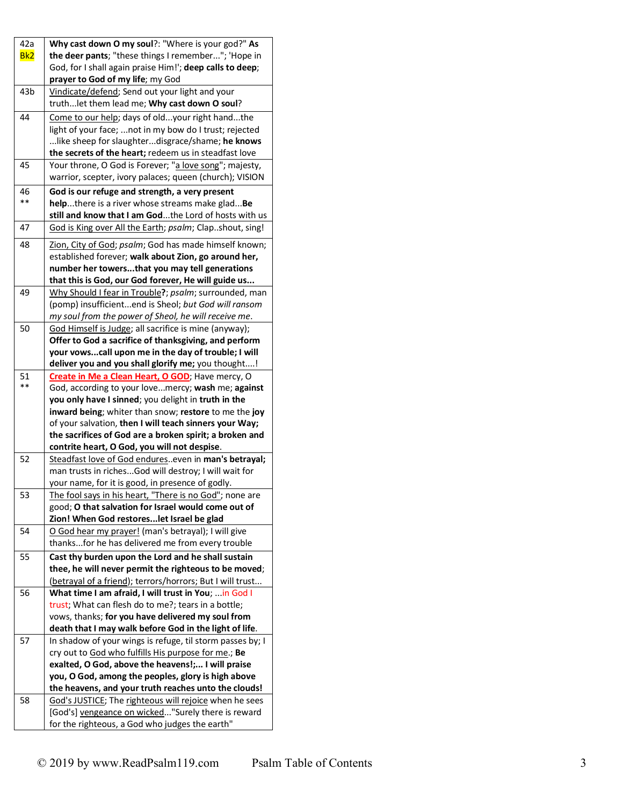| 42a             | Why cast down O my soul?: "Where is your god?" As                                                       |
|-----------------|---------------------------------------------------------------------------------------------------------|
| Bk <sub>2</sub> | the deer pants; "these things I remember"; 'Hope in                                                     |
|                 | God, for I shall again praise Him!'; deep calls to deep;                                                |
|                 | prayer to God of my life; my God                                                                        |
| 43b             | Vindicate/defend; Send out your light and your                                                          |
|                 | truthlet them lead me; Why cast down O soul?                                                            |
| 44              | Come to our help; days of oldyour right handthe                                                         |
|                 | light of your face;  not in my bow do I trust; rejected                                                 |
|                 | like sheep for slaughterdisgrace/shame; he knows                                                        |
|                 | the secrets of the heart; redeem us in steadfast love                                                   |
| 45              | Your throne, O God is Forever; "a love song"; majesty,                                                  |
|                 | warrior, scepter, ivory palaces; queen (church); VISION                                                 |
| 46              | God is our refuge and strength, a very present                                                          |
| **              | helpthere is a river whose streams make gladBe                                                          |
|                 | still and know that I am Godthe Lord of hosts with us                                                   |
| 47              | God is King over All the Earth; psalm; Clapshout, sing!                                                 |
| 48              | Zion, City of God; psalm; God has made himself known;                                                   |
|                 | established forever; walk about Zion, go around her,                                                    |
|                 | number her towersthat you may tell generations                                                          |
|                 | that this is God, our God forever, He will guide us                                                     |
| 49              | Why Should I fear in Trouble?; psalm; surrounded, man                                                   |
|                 | (pomp) insufficientend is Sheol; but God will ransom                                                    |
|                 | my soul from the power of Sheol, he will receive me.                                                    |
| 50              | God Himself is Judge; all sacrifice is mine (anyway);                                                   |
|                 | Offer to God a sacrifice of thanksgiving, and perform                                                   |
|                 | your vowscall upon me in the day of trouble; I will                                                     |
|                 | deliver you and you shall glorify me; you thought!                                                      |
| 51              | Create in Me a Clean Heart, O GOD; Have mercy, O                                                        |
| **              | God, according to your lovemercy; wash me; against                                                      |
|                 | you only have I sinned; you delight in truth in the                                                     |
|                 | inward being; whiter than snow; restore to me the joy                                                   |
|                 | of your salvation, then I will teach sinners your Way;                                                  |
|                 | the sacrifices of God are a broken spirit; a broken and                                                 |
|                 | contrite heart, O God, you will not despise.                                                            |
| 52              | Steadfast love of God endureseven in man's betrayal;                                                    |
|                 | man trusts in richesGod will destroy; I will wait for                                                   |
|                 | your name, for it is good, in presence of godly.                                                        |
|                 | The fool says in his heart, "There is no God"; none are                                                 |
| 53              |                                                                                                         |
|                 | good; O that salvation for Israel would come out of<br>Zion! When God restoreslet Israel be glad        |
|                 |                                                                                                         |
| 54              | O God hear my prayer! (man's betrayal); I will give<br>thanksfor he has delivered me from every trouble |
|                 |                                                                                                         |
| 55              | Cast thy burden upon the Lord and he shall sustain                                                      |
|                 | thee, he will never permit the righteous to be moved;                                                   |
|                 | (betrayal of a friend); terrors/horrors; But I will trust                                               |
| 56              | What time I am afraid, I will trust in You;  in God I                                                   |
|                 | trust; What can flesh do to me?; tears in a bottle;                                                     |
|                 | vows, thanks; for you have delivered my soul from                                                       |
|                 | death that I may walk before God in the light of life.                                                  |
| 57              | In shadow of your wings is refuge, til storm passes by; I                                               |
|                 | cry out to God who fulfills His purpose for me.; Be                                                     |
|                 | exalted, O God, above the heavens!; I will praise                                                       |
|                 | you, O God, among the peoples, glory is high above                                                      |
|                 | the heavens, and your truth reaches unto the clouds!                                                    |
| 58              | God's JUSTICE; The righteous will rejoice when he sees                                                  |
|                 | [God's] vengeance on wicked"Surely there is reward                                                      |
|                 | for the righteous, a God who judges the earth"                                                          |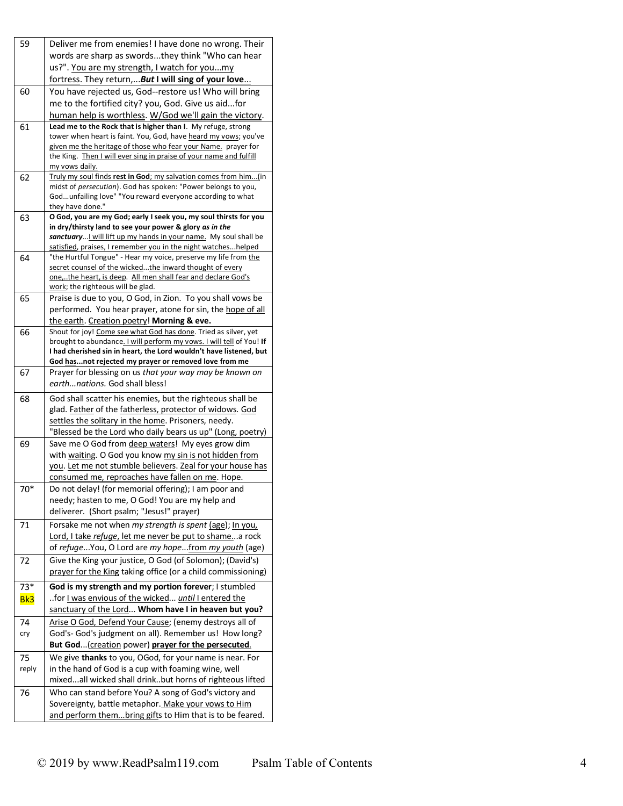| 59    | Deliver me from enemies! I have done no wrong. Their                                                                                    |
|-------|-----------------------------------------------------------------------------------------------------------------------------------------|
|       | words are sharp as swordsthey think "Who can hear                                                                                       |
|       |                                                                                                                                         |
|       | us?". You are my strength, I watch for youmy                                                                                            |
|       | fortress. They return, <b>But I will sing of your love</b>                                                                              |
| 60    | You have rejected us, God--restore us! Who will bring                                                                                   |
|       | me to the fortified city? you, God. Give us aidfor                                                                                      |
|       | human help is worthless. W/God we'll gain the victory.                                                                                  |
| 61    | Lead me to the Rock that is higher than I. My refuge, strong                                                                            |
|       | tower when heart is faint. You, God, have heard my vows; you've<br>given me the heritage of those who fear your Name. prayer for        |
|       | the King. Then I will ever sing in praise of your name and fulfill                                                                      |
|       | <u>my vows daily.</u>                                                                                                                   |
| 62    | Truly my soul finds rest in God; my salvation comes from him(in                                                                         |
|       | midst of persecution). God has spoken: "Power belongs to you,                                                                           |
|       | Godunfailing love" "You reward everyone according to what                                                                               |
|       | they have done."                                                                                                                        |
| 63    | O God, you are my God; early I seek you, my soul thirsts for you<br>in dry/thirsty land to see your power & glory as in the             |
|       | sanctuary I will lift up my hands in your name. My soul shall be                                                                        |
|       | satisfied, praises, I remember you in the night watcheshelped                                                                           |
| 64    | "the Hurtful Tongue" - Hear my voice, preserve my life from the                                                                         |
|       | secret counsel of the wickedthe inward thought of every                                                                                 |
|       | one,the heart, is deep. All men shall fear and declare God's                                                                            |
|       | work; the righteous will be glad.                                                                                                       |
| 65    | Praise is due to you, O God, in Zion. To you shall vows be                                                                              |
|       | performed. You hear prayer, atone for sin, the hope of all                                                                              |
|       | the earth. Creation poetry! Morning & eve.                                                                                              |
| 66    | Shout for joy! Come see what God has done. Tried as silver, yet<br>brought to abundance. I will perform my vows. I will tell of You! If |
|       | I had cherished sin in heart, the Lord wouldn't have listened, but                                                                      |
|       | God hasnot rejected my prayer or removed love from me                                                                                   |
| 67    | Prayer for blessing on us that your way may be known on                                                                                 |
|       | earthnations. God shall bless!                                                                                                          |
| 68    | God shall scatter his enemies, but the righteous shall be                                                                               |
|       | glad. Father of the fatherless, protector of widows. God                                                                                |
|       | settles the solitary in the home. Prisoners, needy.                                                                                     |
|       | "Blessed be the Lord who daily bears us up" (Long, poetry)                                                                              |
| 69    | Save me O God from deep waters! My eyes grow dim                                                                                        |
|       | with waiting. O God you know my sin is not hidden from                                                                                  |
|       | you. Let me not stumble believers. Zeal for your house has                                                                              |
|       | consumed me, reproaches have fallen on me. Hope.                                                                                        |
| $70*$ | Do not delay! (for memorial offering); I am poor and                                                                                    |
|       | needy; hasten to me, O God! You are my help and                                                                                         |
|       | deliverer. (Short psalm; "Jesus!" prayer)                                                                                               |
| 71    | Forsake me not when my strength is spent (age); In you,                                                                                 |
|       | Lord, I take refuge, let me never be put to shamea rock                                                                                 |
|       | of refuge You, O Lord are my hopefrom my youth (age)                                                                                    |
| 72    | Give the King your justice, O God (of Solomon); (David's)                                                                               |
|       | prayer for the King taking office (or a child commissioning)                                                                            |
| $73*$ | God is my strength and my portion forever; I stumbled                                                                                   |
| Bk3   | for I was envious of the wicked until I entered the                                                                                     |
|       | sanctuary of the Lord Whom have I in heaven but you?                                                                                    |
| 74    | Arise O God, Defend Your Cause; (enemy destroys all of                                                                                  |
| cry   | God's- God's judgment on all). Remember us! How long?                                                                                   |
|       | But God (creation power) prayer for the persecuted.                                                                                     |
| 75    | We give thanks to you, OGod, for your name is near. For                                                                                 |
| reply | in the hand of God is a cup with foaming wine, well                                                                                     |
|       | mixedall wicked shall drinkbut horns of righteous lifted                                                                                |
|       | Who can stand before You? A song of God's victory and                                                                                   |
| 76    | Sovereignty, battle metaphor. Make your vows to Him                                                                                     |
|       | and perform thembring gifts to Him that is to be feared.                                                                                |
|       |                                                                                                                                         |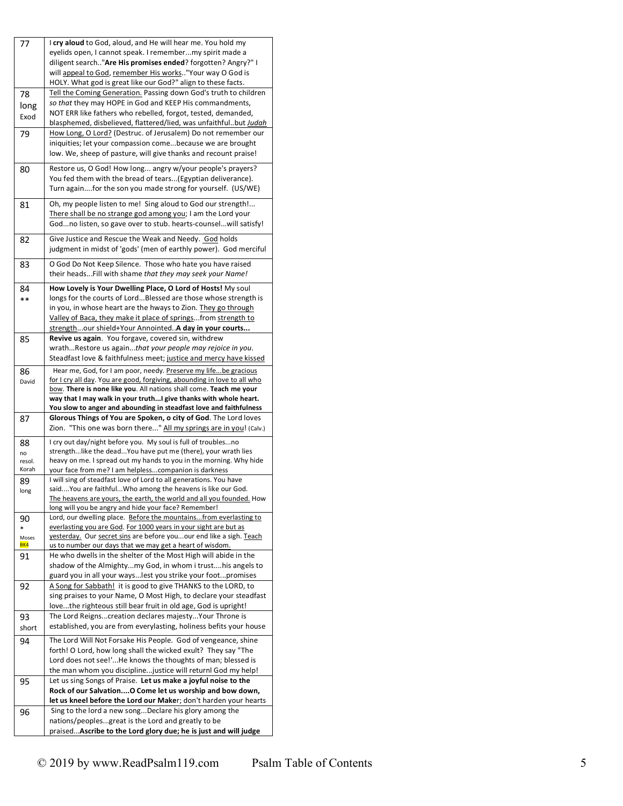| 77           | I cry aloud to God, aloud, and He will hear me. You hold my                                                                 |
|--------------|-----------------------------------------------------------------------------------------------------------------------------|
|              | eyelids open, I cannot speak. I remembermy spirit made a                                                                    |
|              | diligent search"Are His promises ended? forgotten? Angry?" I                                                                |
|              |                                                                                                                             |
|              | will appeal to God, remember His works"Your way O God is                                                                    |
|              | HOLY. What god is great like our God?" align to these facts.                                                                |
| 78           | Tell the Coming Generation. Passing down God's truth to children                                                            |
| long         | so that they may HOPE in God and KEEP His commandments,                                                                     |
| Exod         | NOT ERR like fathers who rebelled, forgot, tested, demanded,                                                                |
|              | blasphemed, disbelieved, flattered/lied, was unfaithfulbut Judah                                                            |
| 79           | How Long, O Lord? (Destruc. of Jerusalem) Do not remember our                                                               |
|              | iniquities; let your compassion comebecause we are brought                                                                  |
|              | low. We, sheep of pasture, will give thanks and recount praise!                                                             |
|              |                                                                                                                             |
| 80           | Restore us, O God! How long angry w/your people's prayers?                                                                  |
|              | You fed them with the bread of tears(Egyptian deliverance).                                                                 |
|              | Turn againfor the son you made strong for yourself. (US/WE)                                                                 |
|              |                                                                                                                             |
| 81           | Oh, my people listen to me! Sing aloud to God our strength!                                                                 |
|              | There shall be no strange god among you; I am the Lord your                                                                 |
|              | Godno listen, so gave over to stub. hearts-counselwill satisfy!                                                             |
|              |                                                                                                                             |
| 82           | Give Justice and Rescue the Weak and Needy. God holds                                                                       |
|              | judgment in midst of 'gods' (men of earthly power). God merciful                                                            |
|              |                                                                                                                             |
| 83           | O God Do Not Keep Silence. Those who hate you have raised                                                                   |
|              | their heads Fill with shame that they may seek your Name!                                                                   |
| 84           | How Lovely is Your Dwelling Place, O Lord of Hosts! My soul                                                                 |
| **           | longs for the courts of LordBlessed are those whose strength is                                                             |
|              | in you, in whose heart are the hways to Zion. They go through                                                               |
|              |                                                                                                                             |
|              | Valley of Baca, they make it place of springsfrom strength to                                                               |
|              | strengthour shield+Your AnnointedA day in your courts                                                                       |
| 85           | Revive us again. You forgave, covered sin, withdrew                                                                         |
|              | wrathRestore us againthat your people may rejoice in you.                                                                   |
|              | Steadfast love & faithfulness meet; justice and mercy have kissed                                                           |
| 86           | Hear me, God, for I am poor, needy. Preserve my life be gracious                                                            |
| David        | for I cry all day. You are good, forgiving, abounding in love to all who                                                    |
|              |                                                                                                                             |
|              |                                                                                                                             |
|              | bow. There is none like you. All nations shall come. Teach me your                                                          |
|              | way that I may walk in your truthI give thanks with whole heart.                                                            |
|              | You slow to anger and abounding in steadfast love and faithfulness                                                          |
| 87           | Glorous Things of You are Spoken, o city of God. The Lord loves                                                             |
|              | Zion. "This one was born there" All my springs are in you! (Calv.)                                                          |
| 88           | I cry out day/night before you. My soul is full of troublesno                                                               |
| no           | strengthlike the deadYou have put me (there), your wrath lies                                                               |
| resol.       | heavy on me. I spread out my hands to you in the morning. Why hide                                                          |
| Korah        | your face from me? I am helplesscompanion is darkness                                                                       |
|              | I will sing of steadfast love of Lord to all generations. You have                                                          |
| 89           | saidYou are faithfulWho among the heavens is like our God.                                                                  |
| long         | The heavens are yours, the earth, the world and all you founded. How                                                        |
|              | long will you be angry and hide your face? Remember!                                                                        |
|              | Lord, our dwelling place. Before the mountainsfrom everlasting to                                                           |
| 90<br>$\ast$ | everlasting you are God. For 1000 years in your sight are but as                                                            |
| Moses        | yesterday. Our secret sins are before youour end like a sigh. Teach                                                         |
| BK4          |                                                                                                                             |
|              | us to number our days that we may get a heart of wisdom.<br>He who dwells in the shelter of the Most High will abide in the |
| 91           | shadow of the Almightymy God, in whom i trusthis angels to                                                                  |
|              |                                                                                                                             |
|              | guard you in all your wayslest you strike your footpromises                                                                 |
| 92           | A Song for Sabbath! it is good to give THANKS to the LORD, to                                                               |
|              | sing praises to your Name, O Most High, to declare your steadfast                                                           |
|              | lovethe righteous still bear fruit in old age, God is upright!                                                              |
| 93           | The Lord Reignscreation declares majesty Your Throne is                                                                     |
| short        | established, you are from everylasting, holiness befits your house                                                          |
|              |                                                                                                                             |
| 94           | The Lord Will Not Forsake His People. God of vengeance, shine                                                               |
|              | forth! O Lord, how long shall the wicked exult? They say "The                                                               |
|              | Lord does not see!'He knows the thoughts of man; blessed is                                                                 |
|              | the man whom you disciplinejustice will returnl God my help!                                                                |
| 95           | Let us sing Songs of Praise. Let us make a joyful noise to the                                                              |
|              | Rock of our Salvation O Come let us worship and bow down,                                                                   |
|              | let us kneel before the Lord our Maker; don't harden your hearts                                                            |
| 96           | Sing to the lord a new songDeclare his glory among the                                                                      |
|              | nations/peoplesgreat is the Lord and greatly to be                                                                          |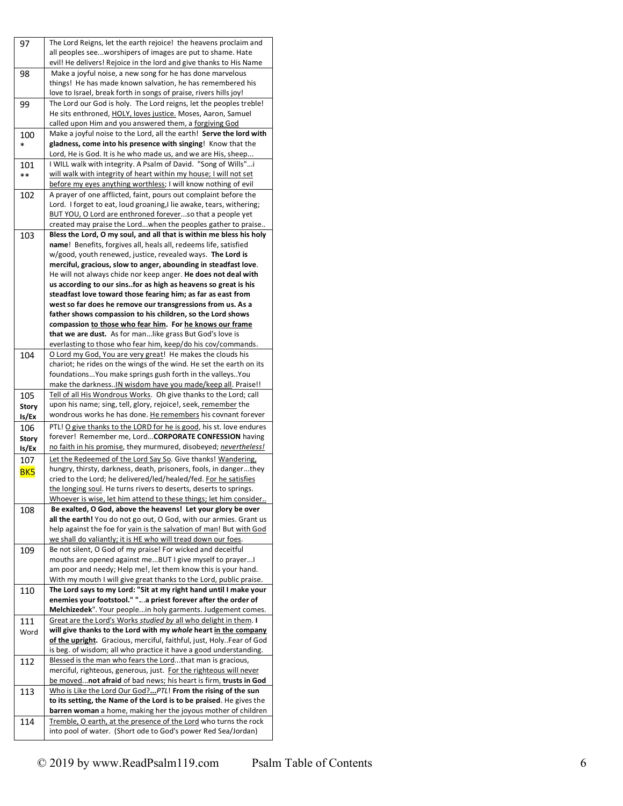| 97              | The Lord Reigns, let the earth rejoice! the heavens proclaim and                                                                  |
|-----------------|-----------------------------------------------------------------------------------------------------------------------------------|
|                 | all peoples seeworshipers of images are put to shame. Hate                                                                        |
|                 | evil! He delivers! Rejoice in the lord and give thanks to His Name                                                                |
|                 |                                                                                                                                   |
| 98              | Make a joyful noise, a new song for he has done marvelous                                                                         |
|                 | things! He has made known salvation, he has remembered his                                                                        |
|                 | love to Israel, break forth in songs of praise, rivers hills joy!                                                                 |
| 99              | The Lord our God is holy. The Lord reigns, let the peoples treble!                                                                |
|                 | He sits enthroned, HOLY, loves justice. Moses, Aaron, Samuel                                                                      |
|                 | called upon Him and you answered them, a forgiving God                                                                            |
|                 |                                                                                                                                   |
| 100             | Make a joyful noise to the Lord, all the earth! Serve the lord with                                                               |
| *               | gladness, come into his presence with singing! Know that the                                                                      |
|                 | Lord, He is God. It is he who made us, and we are His, sheep                                                                      |
| 101             | I WILL walk with integrity. A Psalm of David. "Song of Wills"i                                                                    |
| $***$           | will walk with integrity of heart within my house; I will not set                                                                 |
|                 |                                                                                                                                   |
|                 | before my eyes anything worthless; I will know nothing of evil                                                                    |
| 102             | A prayer of one afflicted, faint, pours out complaint before the                                                                  |
|                 | Lord. I forget to eat, loud groaning, I lie awake, tears, withering;                                                              |
|                 | BUT YOU, O Lord are enthroned foreverso that a people yet                                                                         |
|                 | created may praise the Lordwhen the peoples gather to praise                                                                      |
|                 | Bless the Lord, O my soul, and all that is within me bless his holy                                                               |
| 103             |                                                                                                                                   |
|                 | name! Benefits, forgives all, heals all, redeems life, satisfied                                                                  |
|                 | w/good, youth renewed, justice, revealed ways. The Lord is                                                                        |
|                 | merciful, gracious, slow to anger, abounding in steadfast love.                                                                   |
|                 | He will not always chide nor keep anger. He does not deal with                                                                    |
|                 | us according to our sinsfor as high as heavens so great is his                                                                    |
|                 | steadfast love toward those fearing him; as far as east from                                                                      |
|                 | west so far does he remove our transgressions from us. As a                                                                       |
|                 |                                                                                                                                   |
|                 | father shows compassion to his children, so the Lord shows                                                                        |
|                 | compassion to those who fear him. For he knows our frame                                                                          |
|                 | that we are dust. As for man like grass But God's love is                                                                         |
|                 | everlasting to those who fear him, keep/do his cov/commands.                                                                      |
| 104             | O Lord my God, You are very great! He makes the clouds his                                                                        |
|                 | chariot; he rides on the wings of the wind. He set the earth on its                                                               |
|                 | foundations You make springs gush forth in the valleys You                                                                        |
|                 |                                                                                                                                   |
|                 | make the darknessIN wisdom have you made/keep all. Praise!!                                                                       |
|                 |                                                                                                                                   |
| 105             | Tell of all His Wondrous Works. Oh give thanks to the Lord; call                                                                  |
|                 | upon his name; sing, tell, glory, rejoice!, seek, remember the                                                                    |
| <b>Story</b>    | wondrous works he has done. He remembers his covnant forever                                                                      |
| ls/Ex           |                                                                                                                                   |
| 106             | PTL! O give thanks to the LORD for he is good, his st. love endures                                                               |
| <b>Story</b>    | forever! Remember me, Lord CORPORATE CONFESSION having                                                                            |
| ls/Ex           | no faith in his promise, they murmured, disobeyed; nevertheless!                                                                  |
|                 |                                                                                                                                   |
| 107             | Let the Redeemed of the Lord Say So. Give thanks! Wandering,                                                                      |
| BK <sub>5</sub> | hungry, thirsty, darkness, death, prisoners, fools, in dangerthey                                                                 |
|                 | cried to the Lord; he delivered/led/healed/fed. For he satisfies                                                                  |
|                 | the longing soul. He turns rivers to deserts, deserts to springs.                                                                 |
|                 | Whoever is wise, let him attend to these things; let him consider                                                                 |
|                 | Be exalted, O God, above the heavens! Let your glory be over                                                                      |
| 108             | all the earth! You do not go out, O God, with our armies. Grant us                                                                |
|                 |                                                                                                                                   |
|                 | help against the foe for vain is the salvation of man! But with God                                                               |
|                 | we shall do valiantly; it is HE who will tread down our foes.                                                                     |
| 109             | Be not silent, O God of my praise! For wicked and deceitful                                                                       |
|                 | mouths are opened against meBUT I give myself to prayerI                                                                          |
|                 | am poor and needy; Help me!, let them know this is your hand.                                                                     |
|                 | With my mouth I will give great thanks to the Lord, public praise.                                                                |
|                 |                                                                                                                                   |
| 110             | The Lord says to my Lord: "Sit at my right hand until I make your                                                                 |
|                 | enemies your footstool." "a priest forever after the order of                                                                     |
|                 | Melchizedek". Your peoplein holy garments. Judgement comes.                                                                       |
| 111             | Great are the Lord's Works studied by all who delight in them. I                                                                  |
| Word            | will give thanks to the Lord with my whole heart in the company                                                                   |
|                 | of the upright. Gracious, merciful, faithful, just, HolyFear of God                                                               |
|                 |                                                                                                                                   |
|                 | is beg. of wisdom; all who practice it have a good understanding.                                                                 |
| 112             | Blessed is the man who fears the Lordthat man is gracious,                                                                        |
|                 | merciful, righteous, generous, just. For the righteous will never                                                                 |
|                 | be movednot afraid of bad news; his heart is firm, trusts in God                                                                  |
| 113             | Who is Like the Lord Our God? PTL! From the rising of the sun                                                                     |
|                 | to its setting, the Name of the Lord is to be praised. He gives the                                                               |
|                 | barren woman a home, making her the joyous mother of children                                                                     |
|                 |                                                                                                                                   |
| 114             | Tremble, O earth, at the presence of the Lord who turns the rock<br>into pool of water. (Short ode to God's power Red Sea/Jordan) |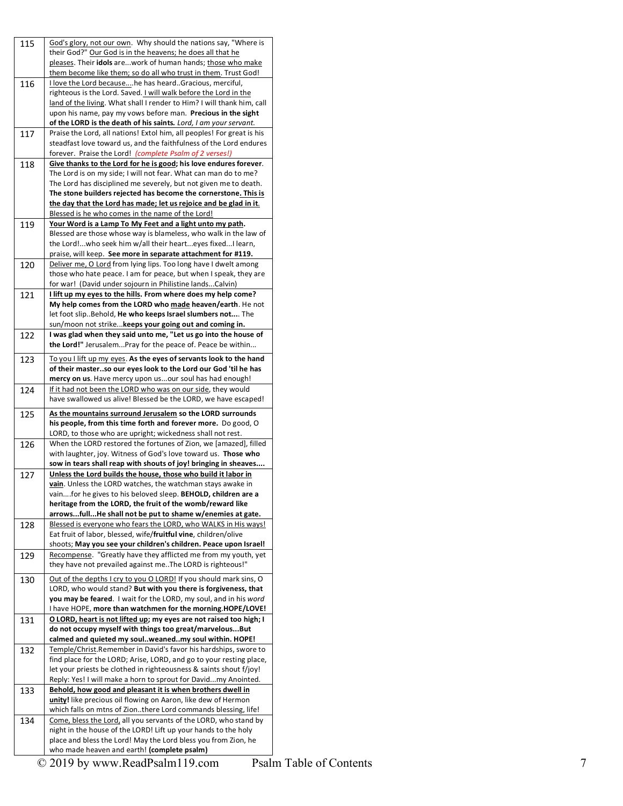| 115 | God's glory, not our own. Why should the nations say, "Where is<br>their God?" Our God is in the heavens; he does all that he |
|-----|-------------------------------------------------------------------------------------------------------------------------------|
|     | pleases. Their idols arework of human hands; those who make                                                                   |
|     | them become like them; so do all who trust in them. Trust God!                                                                |
| 116 | I love the Lord becausehe has heardGracious, merciful,                                                                        |
|     | righteous is the Lord. Saved. I will walk before the Lord in the                                                              |
|     | land of the living. What shall I render to Him? I will thank him, call                                                        |
|     | upon his name, pay my vows before man. Precious in the sight                                                                  |
|     | of the LORD is the death of his saints. Lord, I am your servant.                                                              |
| 117 | Praise the Lord, all nations! Extol him, all peoples! For great is his                                                        |
|     | steadfast love toward us, and the faithfulness of the Lord endures                                                            |
|     | forever. Praise the Lord! (complete Psalm of 2 verses!)                                                                       |
| 118 | Give thanks to the Lord for he is good; his love endures forever.                                                             |
|     | The Lord is on my side; I will not fear. What can man do to me?                                                               |
|     | The Lord has disciplined me severely, but not given me to death.                                                              |
|     | The stone builders rejected has become the cornerstone. This is                                                               |
|     | the day that the Lord has made; let us rejoice and be glad in it.                                                             |
|     | Blessed is he who comes in the name of the Lord!                                                                              |
| 119 | Your Word is a Lamp To My Feet and a light unto my path.                                                                      |
|     | Blessed are those whose way is blameless, who walk in the law of                                                              |
|     | the Lord!who seek him w/all their hearteyes fixed I learn,                                                                    |
|     | praise, will keep. See more in separate attachment for #119.                                                                  |
| 120 | Deliver me, O Lord from lying lips. Too long have I dwelt among                                                               |
|     | those who hate peace. I am for peace, but when I speak, they are                                                              |
|     | for war! (David under sojourn in Philistine landsCalvin)                                                                      |
|     |                                                                                                                               |
| 121 | I lift up my eyes to the hills. From where does my help come?                                                                 |
|     | My help comes from the LORD who made heaven/earth. He not                                                                     |
|     | let foot slipBehold, He who keeps Israel slumbers not The                                                                     |
|     | sun/moon not strike keeps your going out and coming in.                                                                       |
| 122 | I was glad when they said unto me, "Let us go into the house of                                                               |
|     | the Lord!" JerusalemPray for the peace of. Peace be within                                                                    |
| 123 | To you I lift up my eyes. As the eyes of servants look to the hand                                                            |
|     | of their masterso our eyes look to the Lord our God 'til he has                                                               |
|     | mercy on us. Have mercy upon usour soul has had enough!                                                                       |
| 124 | If it had not been the LORD who was on our side, they would                                                                   |
|     | have swallowed us alive! Blessed be the LORD, we have escaped!                                                                |
|     |                                                                                                                               |
| 125 | As the mountains surround Jerusalem so the LORD surrounds<br>his people, from this time forth and forever more. Do good, O    |
|     | LORD, to those who are upright; wickedness shall not rest.                                                                    |
|     |                                                                                                                               |
| 126 | When the LORD restored the fortunes of Zion, we [amazed], filled                                                              |
|     | with laughter, joy. Witness of God's love toward us. Those who                                                                |
|     | sow in tears shall reap with shouts of joy! bringing in sheaves                                                               |
| 127 | Unless the Lord builds the house, those who build it labor in                                                                 |
|     | vain. Unless the LORD watches, the watchman stays awake in                                                                    |
|     | vainfor he gives to his beloved sleep. BEHOLD, children are a                                                                 |
|     | heritage from the LORD, the fruit of the womb/reward like                                                                     |
|     | arrowsfullHe shall not be put to shame w/enemies at gate.                                                                     |
| 128 | Blessed is everyone who fears the LORD, who WALKS in His ways!                                                                |
|     | Eat fruit of labor, blessed, wife/fruitful vine, children/olive                                                               |
|     | shoots; May you see your children's children. Peace upon Israel!                                                              |
| 129 | Recompense. "Greatly have they afflicted me from my youth, yet                                                                |
|     | they have not prevailed against me. The LORD is righteous!"                                                                   |
|     | Out of the depths I cry to you O LORD! If you should mark sins, O                                                             |
| 130 | LORD, who would stand? But with you there is forgiveness, that                                                                |
|     | you may be feared. I wait for the LORD, my soul, and in his word                                                              |
|     | I have HOPE, more than watchmen for the morning.HOPE/LOVE!                                                                    |
|     |                                                                                                                               |
| 131 | O LORD, heart is not lifted up; my eyes are not raised too high; I                                                            |
|     | do not occupy myself with things too great/marvelousBut                                                                       |
|     | calmed and quieted my soulweanedmy soul within. HOPE!                                                                         |
| 132 | Temple/Christ.Remember in David's favor his hardships, swore to                                                               |
|     | find place for the LORD; Arise, LORD, and go to your resting place,                                                           |
|     | let your priests be clothed in righteousness & saints shout f/joy!                                                            |
|     | Reply: Yes! I will make a horn to sprout for Davidmy Anointed.                                                                |
| 133 | Behold, how good and pleasant it is when brothers dwell in                                                                    |
|     | unity! like precious oil flowing on Aaron, like dew of Hermon                                                                 |
|     | which falls on mtns of Zionthere Lord commands blessing, life!                                                                |
| 134 | Come, bless the Lord, all you servants of the LORD, who stand by                                                              |
|     | night in the house of the LORD! Lift up your hands to the holy                                                                |
|     | place and bless the Lord! May the Lord bless you from Zion, he                                                                |
|     |                                                                                                                               |
|     | who made heaven and earth! (complete psalm)                                                                                   |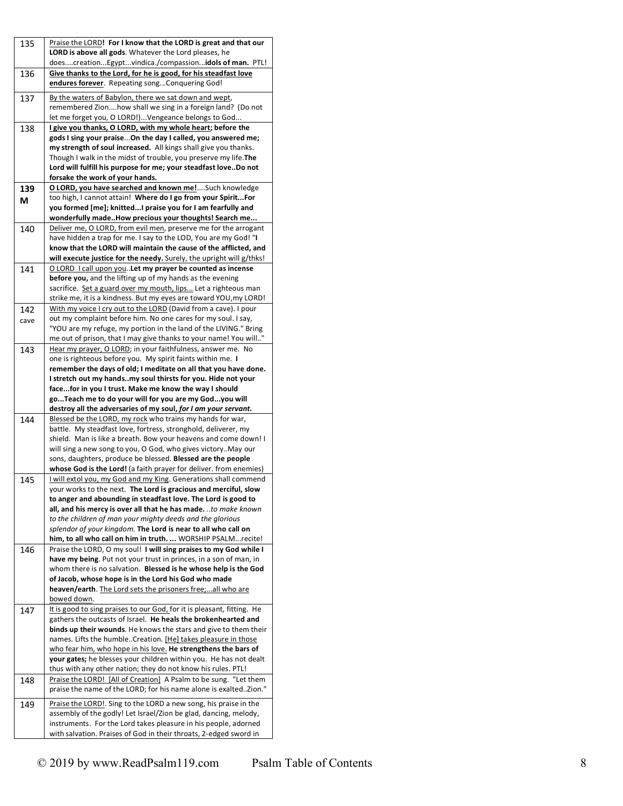| 135  | Praise the LORD! For I know that the LORD is great and that our                                                                          |
|------|------------------------------------------------------------------------------------------------------------------------------------------|
|      | LORD is above all gods. Whatever the Lord pleases, he<br>doescreationEgyptvindica./compassionidols of man. PTL!                          |
| 136  | Give thanks to the Lord, for he is good, for his steadfast love                                                                          |
|      | endures forever. Repeating songConquering God!                                                                                           |
| 137  | By the waters of Babylon, there we sat down and wept,                                                                                    |
|      | remembered Zionhow shall we sing in a foreign land? (Do not                                                                              |
| 138  | let me forget you, O LORD!)Vengeance belongs to God<br>I give you thanks, O LORD, with my whole heart; before the                        |
|      | gods I sing your praiseOn the day I called, you answered me;                                                                             |
|      | my strength of soul increased. All kings shall give you thanks.                                                                          |
|      | Though I walk in the midst of trouble, you preserve my life. The                                                                         |
|      | Lord will fulfill his purpose for me; your steadfast loveDo not                                                                          |
|      | forsake the work of your hands.<br>O LORD, you have searched and known me!Such knowledge                                                 |
| 139  | too high, I cannot attain! Where do I go from your SpiritFor                                                                             |
| М    | you formed [me]; knittedI praise you for I am fearfully and                                                                              |
|      | wonderfully madeHow precious your thoughts! Search me                                                                                    |
| 140  | Deliver me, O LORD, from evil men, preserve me for the arrogant                                                                          |
|      | have hidden a trap for me. I say to the LOD, You are my God! "I                                                                          |
|      | know that the LORD will maintain the cause of the afflicted, and<br>will execute justice for the needy. Surely, the upright will g/thks! |
| 141  | O LORD I call upon you. Let my prayer be counted as incense                                                                              |
|      | before you, and the lifting up of my hands as the evening                                                                                |
|      | sacrifice. Set a guard over my mouth, lips Let a righteous man                                                                           |
|      | strike me, it is a kindness. But my eyes are toward YOU, my LORD!                                                                        |
| 142  | With my voice I cry out to the LORD (David from a cave). I pour                                                                          |
| cave | out my complaint before him. No one cares for my soul. I say,<br>"YOU are my refuge, my portion in the land of the LIVING." Bring        |
|      | me out of prison, that I may give thanks to your name! You will"                                                                         |
| 143  | Hear my prayer, O LORD; in your faithfulness, answer me. No                                                                              |
|      | one is righteous before you. My spirit faints within me. I                                                                               |
|      | remember the days of old; I meditate on all that you have done.                                                                          |
|      | I stretch out my handsmy soul thirsts for you. Hide not your                                                                             |
|      | facefor in you I trust. Make me know the way I should                                                                                    |
|      | goTeach me to do your will for you are my Godyou will<br>destroy all the adversaries of my soul, for I am your servant.                  |
| 144  |                                                                                                                                          |
|      | Blessed be the LORD, my rock who trains my hands for war,                                                                                |
|      | battle. My steadfast love, fortress, stronghold, deliverer, my                                                                           |
|      | shield. Man is like a breath. Bow your heavens and come down! I                                                                          |
|      | will sing a new song to you, O God, who gives victory. May our                                                                           |
|      | sons, daughters, produce be blessed. Blessed are the people                                                                              |
| 145  | whose God is the Lord! (a faith prayer for deliver. from enemies)<br>I will extol you, my God and my King. Generations shall commend     |
|      | your works to the next. The Lord is gracious and merciful, slow                                                                          |
|      | to anger and abounding in steadfast love. The Lord is good to                                                                            |
|      | all, and his mercy is over all that he has made. to make known                                                                           |
|      | to the children of man your mighty deeds and the glorious                                                                                |
|      | splendor of your kingdom. The Lord is near to all who call on<br>him, to all who call on him in truth.  WORSHIP PSALMrecite!             |
| 146  | Praise the LORD, O my soul! I will sing praises to my God while I                                                                        |
|      | have my being. Put not your trust in princes, in a son of man, in                                                                        |
|      | whom there is no salvation. Blessed is he whose help is the God                                                                          |
|      | of Jacob, whose hope is in the Lord his God who made                                                                                     |
|      | heaven/earth. The Lord sets the prisoners free;all who are                                                                               |
|      | bowed down.<br>It is good to sing praises to our God, for it is pleasant, fitting. He                                                    |
| 147  | gathers the outcasts of Israel. He heals the brokenhearted and                                                                           |
|      | binds up their wounds. He knows the stars and give to them their                                                                         |
|      | names. Lifts the humbleCreation. [He] takes pleasure in those                                                                            |
|      | who fear him, who hope in his love. He strengthens the bars of                                                                           |
|      | your gates; he blesses your children within you. He has not dealt                                                                        |
|      | thus with any other nation; they do not know his rules. PTL!                                                                             |
| 148  | Praise the LORD! [All of Creation] A Psalm to be sung. "Let them<br>praise the name of the LORD; for his name alone is exaltedZion."     |
|      |                                                                                                                                          |
| 149  | Praise the LORD!. Sing to the LORD a new song, his praise in the<br>assembly of the godly! Let Israel/Zion be glad, dancing, melody,     |
|      | instruments. For the Lord takes pleasure in his people, adorned                                                                          |